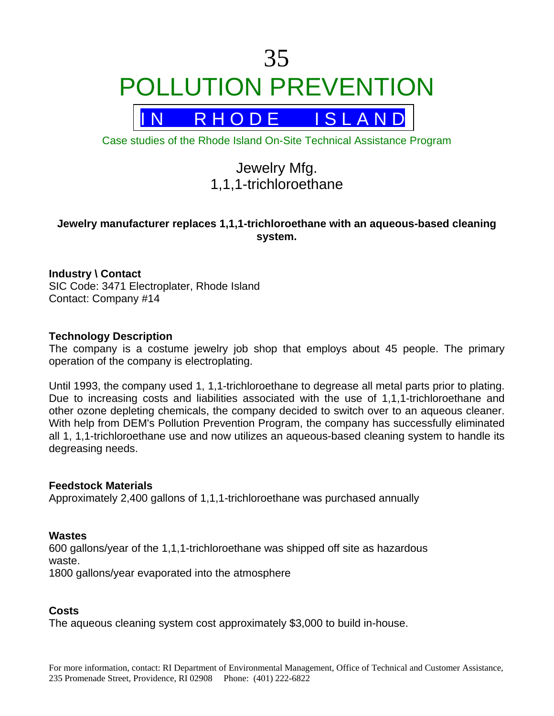# 35 POLLUTION PREVENTION

R H O D E I S L A N D

Case studies of the Rhode Island On-Site Technical Assistance Program

# Jewelry Mfg. 1,1,1-trichloroethane

# **Jewelry manufacturer replaces 1,1,1-trichloroethane with an aqueous-based cleaning system.**

# **Industry \ Contact**

SIC Code: 3471 Electroplater, Rhode Island Contact: Company #14

# **Technology Description**

The company is a costume jewelry job shop that employs about 45 people. The primary operation of the company is electroplating.

Until 1993, the company used 1, 1,1-trichloroethane to degrease all metal parts prior to plating. Due to increasing costs and liabilities associated with the use of 1,1,1-trichloroethane and other ozone depleting chemicals, the company decided to switch over to an aqueous cleaner. With help from DEM's Pollution Prevention Program, the company has successfully eliminated all 1, 1,1-trichloroethane use and now utilizes an aqueous-based cleaning system to handle its degreasing needs.

#### **Feedstock Materials**

Approximately 2,400 gallons of 1,1,1-trichloroethane was purchased annually

# **Wastes**

600 gallons/year of the 1,1,1-trichloroethane was shipped off site as hazardous waste. 1800 gallons/year evaporated into the atmosphere

# **Costs**

The aqueous cleaning system cost approximately \$3,000 to build in-house.